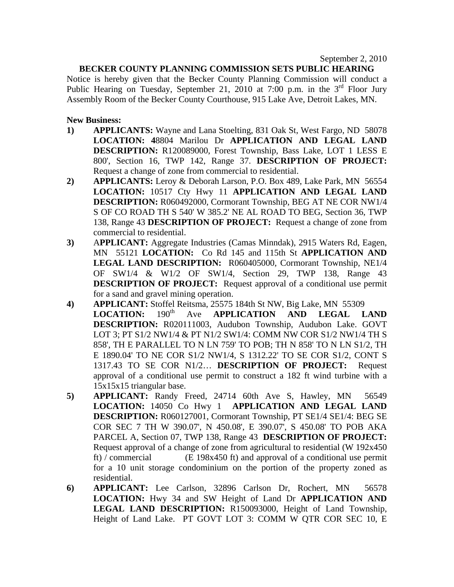## **BECKER COUNTY PLANNING COMMISSION SETS PUBLIC HEARING**

Notice is hereby given that the Becker County Planning Commission will conduct a Public Hearing on Tuesday, September 21, 2010 at 7:00 p.m. in the  $3<sup>rd</sup>$  Floor Jury Assembly Room of the Becker County Courthouse, 915 Lake Ave, Detroit Lakes, MN.

## **New Business:**

- **1) APPLICANTS:** Wayne and Lana Stoelting, 831 Oak St, West Fargo, ND 58078 **LOCATION: 4**8804 Marilou Dr **APPLICATION AND LEGAL LAND DESCRIPTION:** R120089000, Forest Township, Bass Lake, LOT 1 LESS E 800', Section 16, TWP 142, Range 37. **DESCRIPTION OF PROJECT:**  Request a change of zone from commercial to residential.
- **2) APPLICANTS:** Leroy & Deborah Larson, P.O. Box 489, Lake Park, MN 56554 **LOCATION:** 10517 Cty Hwy 11 **APPLICATION AND LEGAL LAND DESCRIPTION:** R060492000, Cormorant Township, BEG AT NE COR NW1/4 S OF CO ROAD TH S 540' W 385.2' NE AL ROAD TO BEG, Section 36, TWP 138, Range 43 **DESCRIPTION OF PROJECT:** Request a change of zone from commercial to residential.
- **3)** A**PPLICANT:** Aggregate Industries (Camas Minndak), 2915 Waters Rd, Eagen, MN 55121 **LOCATION:** Co Rd 145 and 115th St **APPLICATION AND LEGAL LAND DESCRIPTION:** R060405000, Cormorant Township, NE1/4 OF SW1/4 & W1/2 OF SW1/4, Section 29, TWP 138, Range 43 **DESCRIPTION OF PROJECT:** Request approval of a conditional use permit for a sand and gravel mining operation.
- **4) APPLICANT:** Stoffel Reitsma, 25575 184th St NW, Big Lake, MN 55309 LOCATION: 190<sup>th</sup> Ave APPLICATION AND LEGAL LAND **DESCRIPTION:** R020111003, Audubon Township, Audubon Lake. GOVT LOT 3; PT S1/2 NW1/4 & PT N1/2 SW1/4: COMM NW COR S1/2 NW1/4 TH S 858', TH E PARALLEL TO N LN 759' TO POB; TH N 858' TO N LN S1/2, TH E 1890.04' TO NE COR S1/2 NW1/4, S 1312.22' TO SE COR S1/2, CONT S 1317.43 TO SE COR N1/2… **DESCRIPTION OF PROJECT:** Request approval of a conditional use permit to construct a 182 ft wind turbine with a 15x15x15 triangular base.
- **5) APPLICANT:** Randy Freed, 24714 60th Ave S, Hawley, MN 56549 **LOCATION:** 14050 Co Hwy 1 **APPLICATION AND LEGAL LAND DESCRIPTION:** R060127001, Cormorant Township, PT SE1/4 SE1/4: BEG SE COR SEC 7 TH W 390.07', N 450.08', E 390.07', S 450.08' TO POB AKA PARCEL A, Section 07, TWP 138, Range 43 **DESCRIPTION OF PROJECT:**  Request approval of a change of zone from agricultural to residential (W 192x450 ft) / commercial (E 198x450 ft) and approval of a conditional use permit for a 10 unit storage condominium on the portion of the property zoned as residential.
- **6) APPLICANT:** Lee Carlson, 32896 Carlson Dr, Rochert, MN 56578 **LOCATION:** Hwy 34 and SW Height of Land Dr **APPLICATION AND LEGAL LAND DESCRIPTION:** R150093000, Height of Land Township, Height of Land Lake. PT GOVT LOT 3: COMM W QTR COR SEC 10, E